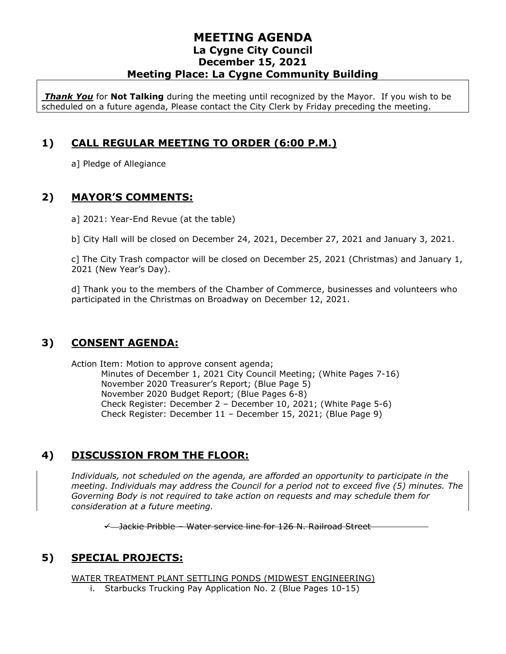*Thank You* for **Not Talking** during the meeting until recognized by the Mayor. If you wish to be scheduled on a future agenda, Please contact the City Clerk by Friday preceding the meeting.

## **1) CALL REGULAR MEETING TO ORDER (6:00 P.M.)**

a] Pledge of Allegiance

## **2) MAYOR'S COMMENTS:**

a] 2021: Year-End Revue (at the table)

b] City Hall will be closed on December 24, 2021, December 27, 2021 and January 3, 2021.

c] The City Trash compactor will be closed on December 25, 2021 (Christmas) and January 1, 2021 (New Year's Day).

d] Thank you to the members of the Chamber of Commerce, businesses and volunteers who participated in the Christmas on Broadway on December 12, 2021.

### **3) CONSENT AGENDA:**

Action Item: Motion to approve consent agenda; Minutes of December 1, 2021 City Council Meeting; (White Pages 7-16) November 2020 Treasurer's Report; (Blue Page 5) November 2020 Budget Report; (Blue Pages 6-8) Check Register: December 2 – December 10, 2021; (White Page 5-6) Check Register: December 11 – December 15, 2021; (Blue Page 9)

# **4) DISCUSSION FROM THE FLOOR:**

*Individuals, not scheduled on the agenda, are afforded an opportunity to participate in the meeting. Individuals may address the Council for a period not to exceed five (5) minutes. The Governing Body is not required to take action on requests and may schedule them for consideration at a future meeting.* 

✓ Jackie Pribble – Water service line for 126 N. Railroad Street

# **5) SPECIAL PROJECTS:**

WATER TREATMENT PLANT SETTLING PONDS (MIDWEST ENGINEERING)

i. Starbucks Trucking Pay Application No. 2 (Blue Pages 10-15)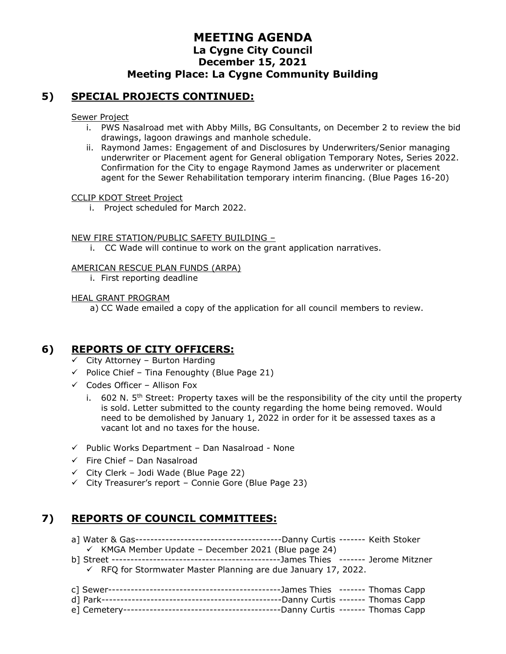#### **5) SPECIAL PROJECTS CONTINUED:**

Sewer Project

- i. PWS Nasalroad met with Abby Mills, BG Consultants, on December 2 to review the bid drawings, lagoon drawings and manhole schedule.
- ii. Raymond James: Engagement of and Disclosures by Underwriters/Senior managing underwriter or Placement agent for General obligation Temporary Notes, Series 2022. Confirmation for the City to engage Raymond James as underwriter or placement agent for the Sewer Rehabilitation temporary interim financing. (Blue Pages 16-20)

#### CCLIP KDOT Street Project

i. Project scheduled for March 2022.

#### NEW FIRE STATION/PUBLIC SAFETY BUILDING –

i. CC Wade will continue to work on the grant application narratives.

#### AMERICAN RESCUE PLAN FUNDS (ARPA)

i. First reporting deadline

#### HEAL GRANT PROGRAM

a) CC Wade emailed a copy of the application for all council members to review.

### **6) REPORTS OF CITY OFFICERS:**

- $\checkmark$  City Attorney Burton Harding
- $\checkmark$  Police Chief Tina Fenoughty (Blue Page 21)
- $\checkmark$  Codes Officer Allison Fox
	- i.  $602$  N. 5<sup>th</sup> Street: Property taxes will be the responsibility of the city until the property is sold. Letter submitted to the county regarding the home being removed. Would need to be demolished by January 1, 2022 in order for it be assessed taxes as a vacant lot and no taxes for the house.
- $\checkmark$  Public Works Department Dan Nasalroad None
- ✓ Fire Chief Dan Nasalroad
- $\checkmark$  City Clerk Jodi Wade (Blue Page 22)
- ✓ City Treasurer's report Connie Gore (Blue Page 23)

## **7) REPORTS OF COUNCIL COMMITTEES:**

- a] Water & Gas---------------------------------------Danny Curtis ------- Keith Stoker
	- $\checkmark$  KMGA Member Update December 2021 (Blue page 24)
- b] Street ---------------------------------------------James Thies ------- Jerome Mitzner ✓ RFQ for Stormwater Master Planning are due January 17, 2022.
- c] Sewer----------------------------------------------James Thies ------- Thomas Capp d] Park------------------------------------------------Danny Curtis ------- Thomas Capp e] Cemetery------------------------------------------Danny Curtis ------- Thomas Capp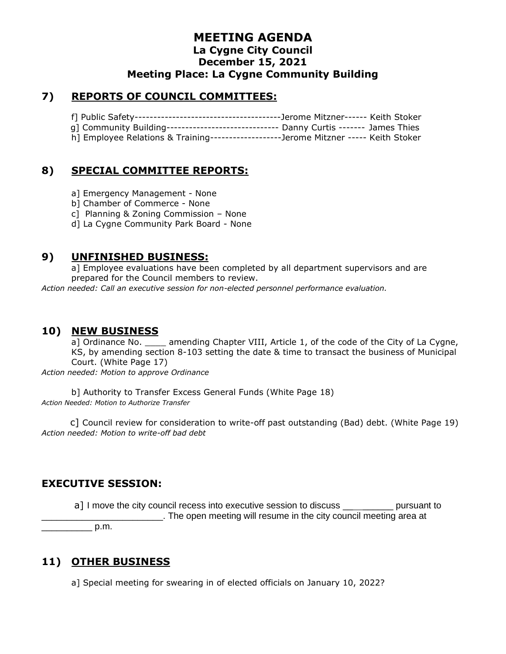#### **7) REPORTS OF COUNCIL COMMITTEES:**

|  | g] Community Building------------------------------- Danny Curtis ------- James Thies |  |
|--|---------------------------------------------------------------------------------------|--|
|  | h] Employee Relations & Training-------------------Jerome Mitzner ----- Keith Stoker  |  |

### **8) SPECIAL COMMITTEE REPORTS:**

a] Emergency Management - None

b] Chamber of Commerce - None

c] Planning & Zoning Commission – None

d] La Cygne Community Park Board - None

#### **9) UNFINISHED BUSINESS:**

a] Employee evaluations have been completed by all department supervisors and are prepared for the Council members to review.

*Action needed: Call an executive session for non-elected personnel performance evaluation.*

### **10) NEW BUSINESS**

a] Ordinance No. \_\_\_\_ amending Chapter VIII, Article 1, of the code of the City of La Cygne, KS, by amending section 8-103 setting the date & time to transact the business of Municipal Court. (White Page 17)

*Action needed: Motion to approve Ordinance*

b] Authority to Transfer Excess General Funds (White Page 18) *Action Needed: Motion to Authorize Transfer*

 c] Council review for consideration to write-off past outstanding (Bad) debt. (White Page 19) *Action needed: Motion to write-off bad debt*

### **EXECUTIVE SESSION:**

a] I move the city council recess into executive session to discuss \_\_ \_\_\_\_\_\_\_\_ pursuant to \_\_\_\_\_\_\_\_\_\_\_\_\_\_\_\_\_\_\_\_\_\_\_\_. The open meeting will resume in the city council meeting area at

 $p.m.$ 

## **11) OTHER BUSINESS**

a] Special meeting for swearing in of elected officials on January 10, 2022?